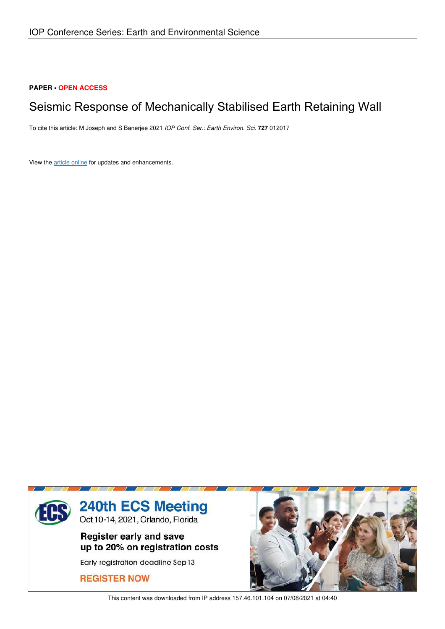## **PAPER • OPEN ACCESS**

## Seismic Response of Mechanically Stabilised Earth Retaining Wall

To cite this article: M Joseph and S Banerjee 2021 *IOP Conf. Ser.: Earth Environ. Sci.* **727** 012017

View the article online for updates and enhancements.



This content was downloaded from IP address 157.46.101.104 on 07/08/2021 at 04:40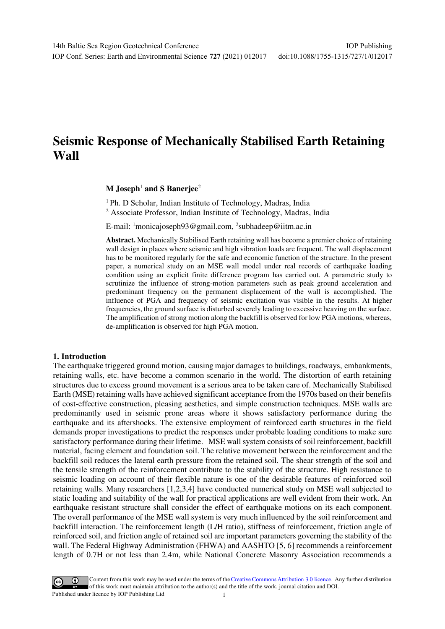IOP Conf. Series: Earth and Environmental Science **727** (2021) 012017 doi:10.1088/1755-1315/727/1/012017

# **Seismic Response of Mechanically Stabilised Earth Retaining Wall**

## **M Joseph**<sup>1</sup>  **and S Banerjee**<sup>2</sup>

<sup>1</sup>Ph. D Scholar, Indian Institute of Technology, Madras, India <sup>2</sup> Associate Professor, Indian Institute of Technology, Madras, India

E-mail: <sup>1</sup>monicajoseph93@gmail.com, <sup>2</sup>subhadeep@iitm.ac.in

**Abstract.** Mechanically Stabilised Earth retaining wall has become a premier choice of retaining wall design in places where seismic and high vibration loads are frequent. The wall displacement has to be monitored regularly for the safe and economic function of the structure. In the present paper, a numerical study on an MSE wall model under real records of earthquake loading condition using an explicit finite difference program has carried out. A parametric study to scrutinize the influence of strong-motion parameters such as peak ground acceleration and predominant frequency on the permanent displacement of the wall is accomplished. The influence of PGA and frequency of seismic excitation was visible in the results. At higher frequencies, the ground surface is disturbed severely leading to excessive heaving on the surface. The amplification of strong motion along the backfill is observed for low PGA motions, whereas, de-amplification is observed for high PGA motion.

#### **1. Introduction**

The earthquake triggered ground motion, causing major damages to buildings, roadways, embankments, retaining walls, etc. have become a common scenario in the world. The distortion of earth retaining structures due to excess ground movement is a serious area to be taken care of. Mechanically Stabilised Earth (MSE) retaining walls have achieved significant acceptance from the 1970s based on their benefits of cost-effective construction, pleasing aesthetics, and simple construction techniques. MSE walls are predominantly used in seismic prone areas where it shows satisfactory performance during the earthquake and its aftershocks. The extensive employment of reinforced earth structures in the field demands proper investigations to predict the responses under probable loading conditions to make sure satisfactory performance during their lifetime. MSE wall system consists of soil reinforcement, backfill material, facing element and foundation soil. The relative movement between the reinforcement and the backfill soil reduces the lateral earth pressure from the retained soil. The shear strength of the soil and the tensile strength of the reinforcement contribute to the stability of the structure. High resistance to seismic loading on account of their flexible nature is one of the desirable features of reinforced soil retaining walls. Many researchers [1,2,3,4] have conducted numerical study on MSE wall subjected to static loading and suitability of the wall for practical applications are well evident from their work. An earthquake resistant structure shall consider the effect of earthquake motions on its each component. The overall performance of the MSE wall system is very much influenced by the soil reinforcement and backfill interaction. The reinforcement length (L/H ratio), stiffness of reinforcement, friction angle of reinforced soil, and friction angle of retained soil are important parameters governing the stability of the wall. The Federal Highway Administration (FHWA) and AASHTO [5, 6] recommends a reinforcement length of 0.7H or not less than 2.4m, while National Concrete Masonry Association recommends a

Content from this work may be used under the terms of theCreative Commons Attribution 3.0 licence. Any further distribution of this work must maintain attribution to the author(s) and the title of the work, journal citation and DOI. Published under licence by IOP Publishing Ltd 1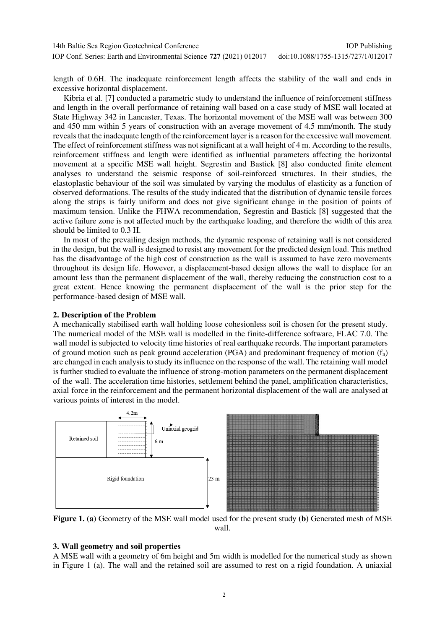| 14th Baltic Sea Region Geotechnical Conference                      | <b>IOP</b> Publishing              |
|---------------------------------------------------------------------|------------------------------------|
| IOP Conf. Series: Earth and Environmental Science 727 (2021) 012017 | doi:10.1088/1755-1315/727/1/012017 |

length of 0.6H. The inadequate reinforcement length affects the stability of the wall and ends in excessive horizontal displacement.

Kibria et al. [7] conducted a parametric study to understand the influence of reinforcement stiffness and length in the overall performance of retaining wall based on a case study of MSE wall located at State Highway 342 in Lancaster, Texas. The horizontal movement of the MSE wall was between 300 and 450 mm within 5 years of construction with an average movement of 4.5 mm/month. The study reveals that the inadequate length of the reinforcement layer is a reason for the excessive wall movement. The effect of reinforcement stiffness was not significant at a wall height of 4 m. According to the results, reinforcement stiffness and length were identified as influential parameters affecting the horizontal movement at a specific MSE wall height. Segrestin and Bastick [8] also conducted finite element analyses to understand the seismic response of soil-reinforced structures. In their studies, the elastoplastic behaviour of the soil was simulated by varying the modulus of elasticity as a function of observed deformations. The results of the study indicated that the distribution of dynamic tensile forces along the strips is fairly uniform and does not give significant change in the position of points of maximum tension. Unlike the FHWA recommendation, Segrestin and Bastick [8] suggested that the active failure zone is not affected much by the earthquake loading, and therefore the width of this area should be limited to 0.3 H.

In most of the prevailing design methods, the dynamic response of retaining wall is not considered in the design, but the wall is designed to resist any movement for the predicted design load. This method has the disadvantage of the high cost of construction as the wall is assumed to have zero movements throughout its design life. However, a displacement-based design allows the wall to displace for an amount less than the permanent displacement of the wall, thereby reducing the construction cost to a great extent. Hence knowing the permanent displacement of the wall is the prior step for the performance-based design of MSE wall.

### **2. Description of the Problem**

A mechanically stabilised earth wall holding loose cohesionless soil is chosen for the present study. The numerical model of the MSE wall is modelled in the finite-difference software, FLAC 7.0. The wall model is subjected to velocity time histories of real earthquake records. The important parameters of ground motion such as peak ground acceleration (PGA) and predominant frequency of motion  $(f_n)$ are changed in each analysis to study its influence on the response of the wall. The retaining wall model is further studied to evaluate the influence of strong-motion parameters on the permanent displacement of the wall. The acceleration time histories, settlement behind the panel, amplification characteristics, axial force in the reinforcement and the permanent horizontal displacement of the wall are analysed at various points of interest in the model.



**Figure 1. (a)** Geometry of the MSE wall model used for the present study **(b)** Generated mesh of MSE wall.

#### **3. Wall geometry and soil properties**

A MSE wall with a geometry of 6m height and 5m width is modelled for the numerical study as shown in Figure 1 (a). The wall and the retained soil are assumed to rest on a rigid foundation. A uniaxial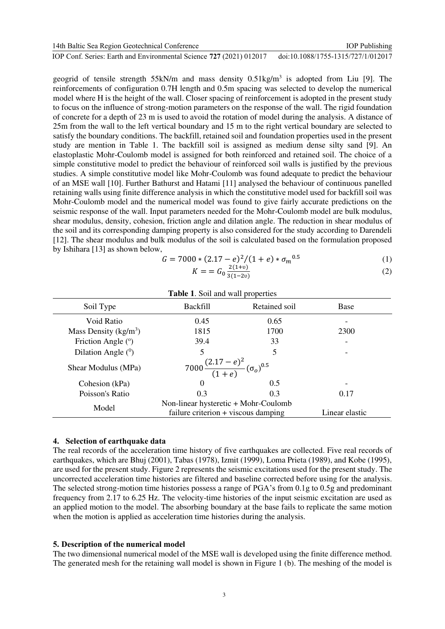| 14th Baltic Sea Region Geotechnical Conference                      | <b>IOP</b> Publishing              |
|---------------------------------------------------------------------|------------------------------------|
| IOP Conf. Series: Earth and Environmental Science 727 (2021) 012017 | doi:10.1088/1755-1315/727/1/012017 |

geogrid of tensile strength  $55kN/m$  and mass density  $0.51kg/m<sup>3</sup>$  is adopted from Liu [9]. The reinforcements of configuration 0.7H length and 0.5m spacing was selected to develop the numerical model where H is the height of the wall. Closer spacing of reinforcement is adopted in the present study to focus on the influence of strong-motion parameters on the response of the wall. The rigid foundation of concrete for a depth of 23 m is used to avoid the rotation of model during the analysis. A distance of 25m from the wall to the left vertical boundary and 15 m to the right vertical boundary are selected to satisfy the boundary conditions. The backfill, retained soil and foundation properties used in the present study are mention in Table 1. The backfill soil is assigned as medium dense silty sand [9]. An elastoplastic Mohr-Coulomb model is assigned for both reinforced and retained soil. The choice of a simple constitutive model to predict the behaviour of reinforced soil walls is justified by the previous studies. A simple constitutive model like Mohr-Coulomb was found adequate to predict the behaviour of an MSE wall [10]. Further Bathurst and Hatami [11] analysed the behaviour of continuous panelled retaining walls using finite difference analysis in which the constitutive model used for backfill soil was Mohr-Coulomb model and the numerical model was found to give fairly accurate predictions on the seismic response of the wall. Input parameters needed for the Mohr-Coulomb model are bulk modulus, shear modulus, density, cohesion, friction angle and dilation angle. The reduction in shear modulus of the soil and its corresponding damping property is also considered for the study according to Darendeli [12]. The shear modulus and bulk modulus of the soil is calculated based on the formulation proposed by Ishihara [13] as shown below,

$$
G = 7000 * (2.17 - e)^{2}/(1 + e) * \sigma_{m}^{0.5}
$$
 (1)

$$
K = G_0 \frac{2(1+0)}{3(1-20)}\tag{2}
$$

| <b>Table 1.</b> Soil and wall properties                               |                                                                             |               |                |  |
|------------------------------------------------------------------------|-----------------------------------------------------------------------------|---------------|----------------|--|
| Soil Type                                                              | <b>Backfill</b>                                                             | Retained soil | <b>Base</b>    |  |
| Void Ratio                                                             | 0.45                                                                        | 0.65          |                |  |
| Mass Density $(kg/m3)$                                                 | 1815                                                                        | 1700          | 2300           |  |
| Friction Angle $(°)$                                                   | 39.4                                                                        | 33            |                |  |
| Dilation Angle $(0)$                                                   | 5                                                                           | 5             |                |  |
| 7000 $\frac{(2.17-e)^2}{(1+e)}(\sigma_o)^{0.5}$<br>Shear Modulus (MPa) |                                                                             |               |                |  |
| Cohesion (kPa)                                                         | $\Omega$                                                                    | 0.5           |                |  |
| Poisson's Ratio                                                        | 0.3                                                                         | 0.3           | 0.17           |  |
| Model                                                                  | Non-linear hysteretic + Mohr-Coulomb<br>failure criterion + viscous damping |               | Linear elastic |  |

#### **4. Selection of earthquake data**

The real records of the acceleration time history of five earthquakes are collected. Five real records of earthquakes, which are Bhuj (2001), Tabas (1978), Izmit (1999), Loma Prieta (1989), and Kobe (1995), are used for the present study. Figure 2 represents the seismic excitations used for the present study. The uncorrected acceleration time histories are filtered and baseline corrected before using for the analysis. The selected strong-motion time histories possess a range of PGA's from 0.1g to 0.5g and predominant frequency from 2.17 to 6.25 Hz. The velocity-time histories of the input seismic excitation are used as an applied motion to the model. The absorbing boundary at the base fails to replicate the same motion when the motion is applied as acceleration time histories during the analysis.

#### **5. Description of the numerical model**

The two dimensional numerical model of the MSE wall is developed using the finite difference method. The generated mesh for the retaining wall model is shown in Figure 1 (b). The meshing of the model is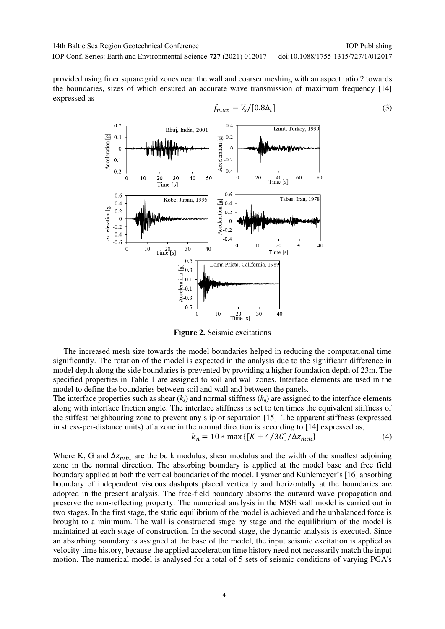IOP Conf. Series: Earth and Environmental Science **727** (2021) 012017 doi:10.1088/1755-1315/727/1/012017

provided using finer square grid zones near the wall and coarser meshing with an aspect ratio 2 towards the boundaries, sizes of which ensured an accurate wave transmission of maximum frequency [14] expressed as



**Figure 2.** Seismic excitations

The increased mesh size towards the model boundaries helped in reducing the computational time significantly. The rotation of the model is expected in the analysis due to the significant difference in model depth along the side boundaries is prevented by providing a higher foundation depth of 23m. The specified properties in Table 1 are assigned to soil and wall zones. Interface elements are used in the model to define the boundaries between soil and wall and between the panels.

The interface properties such as shear  $(k<sub>s</sub>)$  and normal stiffness  $(k<sub>n</sub>)$  are assigned to the interface elements along with interface friction angle. The interface stiffness is set to ten times the equivalent stiffness of the stiffest neighbouring zone to prevent any slip or separation [15]. The apparent stiffness (expressed in stress-per-distance units) of a zone in the normal direction is according to [14] expressed as,

$$
k_n = 10 * \max\{[K + 4/3G]/\Delta z_{min}\}\tag{4}
$$

Where K, G and  $\Delta z_{min}$  are the bulk modulus, shear modulus and the width of the smallest adjoining zone in the normal direction. The absorbing boundary is applied at the model base and free field boundary applied at both the vertical boundaries of the model. Lysmer and Kuhlemeyer's [16] absorbing boundary of independent viscous dashpots placed vertically and horizontally at the boundaries are adopted in the present analysis. The free-field boundary absorbs the outward wave propagation and preserve the non-reflecting property. The numerical analysis in the MSE wall model is carried out in two stages. In the first stage, the static equilibrium of the model is achieved and the unbalanced force is brought to a minimum. The wall is constructed stage by stage and the equilibrium of the model is maintained at each stage of construction. In the second stage, the dynamic analysis is executed. Since an absorbing boundary is assigned at the base of the model, the input seismic excitation is applied as velocity-time history, because the applied acceleration time history need not necessarily match the input motion. The numerical model is analysed for a total of 5 sets of seismic conditions of varying PGA's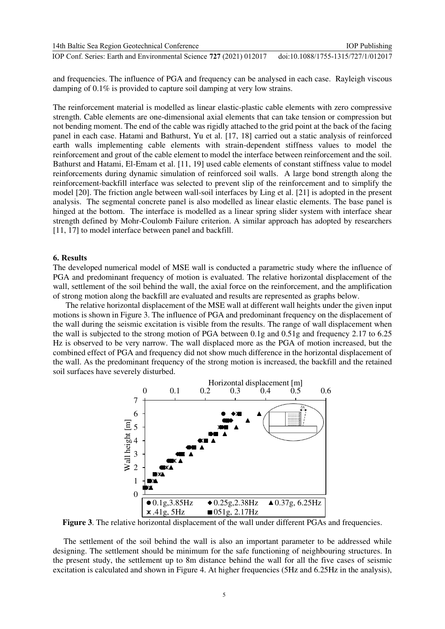| 14th Baltic Sea Region Geotechnical Conference                      | <b>IOP</b> Publishing              |
|---------------------------------------------------------------------|------------------------------------|
| IOP Conf. Series: Earth and Environmental Science 727 (2021) 012017 | doi:10.1088/1755-1315/727/1/012017 |

and frequencies. The influence of PGA and frequency can be analysed in each case. Rayleigh viscous damping of 0.1% is provided to capture soil damping at very low strains.

The reinforcement material is modelled as linear elastic-plastic cable elements with zero compressive strength. Cable elements are one-dimensional axial elements that can take tension or compression but not bending moment. The end of the cable was rigidly attached to the grid point at the back of the facing panel in each case. Hatami and Bathurst, Yu et al. [17, 18] carried out a static analysis of reinforced earth walls implementing cable elements with strain-dependent stiffness values to model the reinforcement and grout of the cable element to model the interface between reinforcement and the soil. Bathurst and Hatami, El-Emam et al. [11, 19] used cable elements of constant stiffness value to model reinforcements during dynamic simulation of reinforced soil walls. A large bond strength along the reinforcement-backfill interface was selected to prevent slip of the reinforcement and to simplify the model [20]. The friction angle between wall-soil interfaces by Ling et al. [21] is adopted in the present analysis. The segmental concrete panel is also modelled as linear elastic elements. The base panel is hinged at the bottom. The interface is modelled as a linear spring slider system with interface shear strength defined by Mohr-Coulomb Failure criterion. A similar approach has adopted by researchers [11, 17] to model interface between panel and backfill.

#### **6. Results**

The developed numerical model of MSE wall is conducted a parametric study where the influence of PGA and predominant frequency of motion is evaluated. The relative horizontal displacement of the wall, settlement of the soil behind the wall, the axial force on the reinforcement, and the amplification of strong motion along the backfill are evaluated and results are represented as graphs below.

 The relative horizontal displacement of the MSE wall at different wall heights under the given input motions is shown in Figure 3. The influence of PGA and predominant frequency on the displacement of the wall during the seismic excitation is visible from the results. The range of wall displacement when the wall is subjected to the strong motion of PGA between 0.1g and 0.51g and frequency 2.17 to 6.25 Hz is observed to be very narrow. The wall displaced more as the PGA of motion increased, but the combined effect of PGA and frequency did not show much difference in the horizontal displacement of the wall. As the predominant frequency of the strong motion is increased, the backfill and the retained soil surfaces have severely disturbed.



**Figure 3**. The relative horizontal displacement of the wall under different PGAs and frequencies.

 The settlement of the soil behind the wall is also an important parameter to be addressed while designing. The settlement should be minimum for the safe functioning of neighbouring structures. In the present study, the settlement up to 8m distance behind the wall for all the five cases of seismic excitation is calculated and shown in Figure 4. At higher frequencies (5Hz and 6.25Hz in the analysis),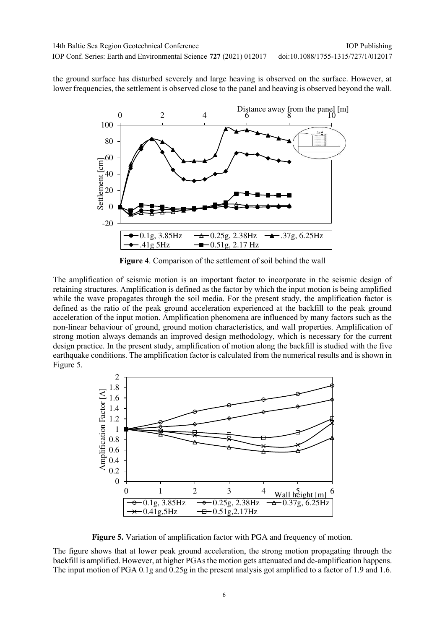the ground surface has disturbed severely and large heaving is observed on the surface. However, at lower frequencies, the settlement is observed close to the panel and heaving is observed beyond the wall.



**Figure 4**. Comparison of the settlement of soil behind the wall

The amplification of seismic motion is an important factor to incorporate in the seismic design of retaining structures. Amplification is defined as the factor by which the input motion is being amplified while the wave propagates through the soil media. For the present study, the amplification factor is defined as the ratio of the peak ground acceleration experienced at the backfill to the peak ground acceleration of the input motion. Amplification phenomena are influenced by many factors such as the non-linear behaviour of ground, ground motion characteristics, and wall properties. Amplification of strong motion always demands an improved design methodology, which is necessary for the current design practice. In the present study, amplification of motion along the backfill is studied with the five earthquake conditions. The amplification factor is calculated from the numerical results and is shown in Figure 5.



**Figure 5.** Variation of amplification factor with PGA and frequency of motion.

The figure shows that at lower peak ground acceleration, the strong motion propagating through the backfill is amplified. However, at higher PGAs the motion gets attenuated and de-amplification happens. The input motion of PGA 0.1g and 0.25g in the present analysis got amplified to a factor of 1.9 and 1.6.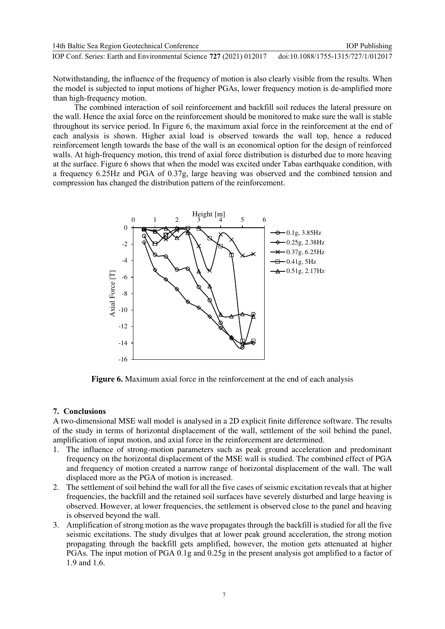| 14th Baltic Sea Region Geotechnical Conference                      | <b>IOP</b> Publishing              |
|---------------------------------------------------------------------|------------------------------------|
| IOP Conf. Series: Earth and Environmental Science 727 (2021) 012017 | doi:10.1088/1755-1315/727/1/012017 |

Notwithstanding, the influence of the frequency of motion is also clearly visible from the results. When the model is subjected to input motions of higher PGAs, lower frequency motion is de-amplified more than high-frequency motion.

 The combined interaction of soil reinforcement and backfill soil reduces the lateral pressure on the wall. Hence the axial force on the reinforcement should be monitored to make sure the wall is stable throughout its service period. In Figure 6, the maximum axial force in the reinforcement at the end of each analysis is shown. Higher axial load is observed towards the wall top, hence a reduced reinforcement length towards the base of the wall is an economical option for the design of reinforced walls. At high-frequency motion, this trend of axial force distribution is disturbed due to more heaving at the surface. Figure 6 shows that when the model was excited under Tabas earthquake condition, with a frequency 6.25Hz and PGA of 0.37g, large heaving was observed and the combined tension and compression has changed the distribution pattern of the reinforcement.



**Figure 6.** Maximum axial force in the reinforcement at the end of each analysis

### **7. Conclusions**

A two-dimensional MSE wall model is analysed in a 2D explicit finite difference software. The results of the study in terms of horizontal displacement of the wall, settlement of the soil behind the panel, amplification of input motion, and axial force in the reinforcement are determined.

- 1. The influence of strong-motion parameters such as peak ground acceleration and predominant frequency on the horizontal displacement of the MSE wall is studied. The combined effect of PGA and frequency of motion created a narrow range of horizontal displacement of the wall. The wall displaced more as the PGA of motion is increased.
- 2. The settlement of soil behind the wall for all the five cases of seismic excitation reveals that at higher frequencies, the backfill and the retained soil surfaces have severely disturbed and large heaving is observed. However, at lower frequencies, the settlement is observed close to the panel and heaving is observed beyond the wall.
- 3. Amplification of strong motion as the wave propagates through the backfill is studied for all the five seismic excitations. The study divulges that at lower peak ground acceleration, the strong motion propagating through the backfill gets amplified, however, the motion gets attenuated at higher PGAs. The input motion of PGA 0.1g and 0.25g in the present analysis got amplified to a factor of 1.9 and 1.6.